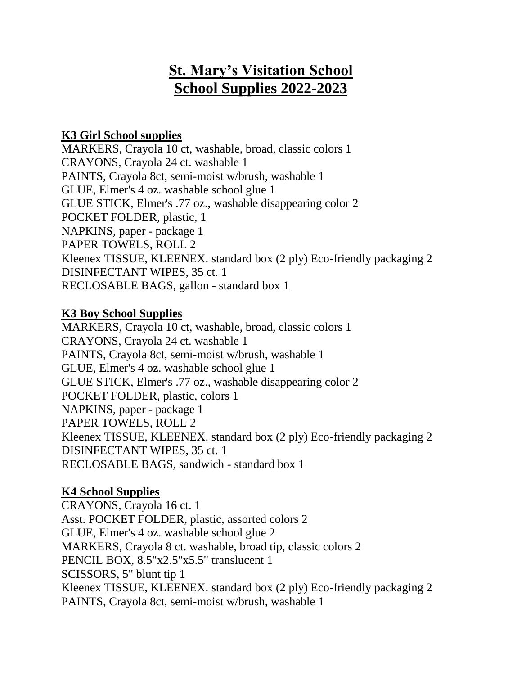# **St. Mary's Visitation School School Supplies 2022-2023**

## **K3 Girl School supplies**

MARKERS, Crayola 10 ct, washable, broad, classic colors 1 CRAYONS, Crayola 24 ct. washable 1 PAINTS, Crayola 8ct, semi-moist w/brush, washable 1 GLUE, Elmer's 4 oz. washable school glue 1 GLUE STICK, Elmer's .77 oz., washable disappearing color 2 POCKET FOLDER, plastic, 1 NAPKINS, paper - package 1 PAPER TOWELS, ROLL 2 Kleenex TISSUE, KLEENEX. standard box (2 ply) Eco-friendly packaging 2 DISINFECTANT WIPES, 35 ct. 1 RECLOSABLE BAGS, gallon - standard box 1

#### **K3 Boy School Supplies**

MARKERS, Crayola 10 ct, washable, broad, classic colors 1 CRAYONS, Crayola 24 ct. washable 1 PAINTS, Crayola 8ct, semi-moist w/brush, washable 1 GLUE, Elmer's 4 oz. washable school glue 1 GLUE STICK, Elmer's .77 oz., washable disappearing color 2 POCKET FOLDER, plastic, colors 1 NAPKINS, paper - package 1 PAPER TOWELS, ROLL 2 Kleenex TISSUE, KLEENEX. standard box (2 ply) Eco-friendly packaging 2 DISINFECTANT WIPES, 35 ct. 1 RECLOSABLE BAGS, sandwich - standard box 1

### **K4 School Supplies**

CRAYONS, Crayola 16 ct. 1 Asst. POCKET FOLDER, plastic, assorted colors 2 GLUE, Elmer's 4 oz. washable school glue 2 MARKERS, Crayola 8 ct. washable, broad tip, classic colors 2 PENCIL BOX, 8.5"x2.5"x5.5" translucent 1 SCISSORS, 5" blunt tip 1 Kleenex TISSUE, KLEENEX. standard box (2 ply) Eco-friendly packaging 2 PAINTS, Crayola 8ct, semi-moist w/brush, washable 1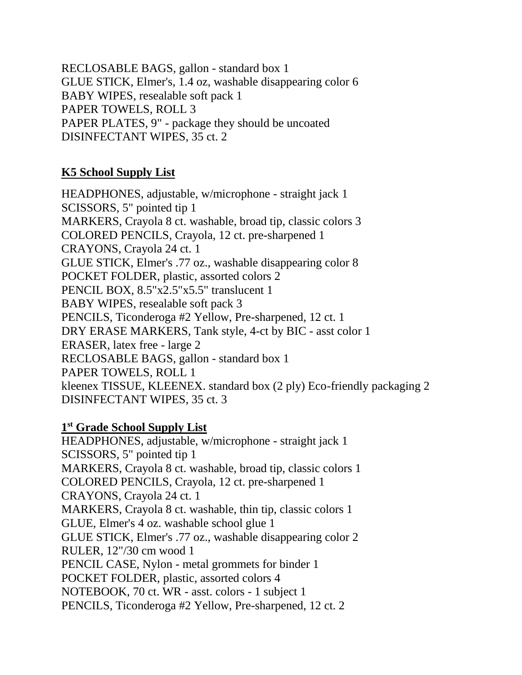RECLOSABLE BAGS, gallon - standard box 1 GLUE STICK, Elmer's, 1.4 oz, washable disappearing color 6 BABY WIPES, resealable soft pack 1 PAPER TOWELS, ROLL 3 PAPER PLATES, 9" - package they should be uncoated DISINFECTANT WIPES, 35 ct. 2

## **K5 School Supply List**

HEADPHONES, adjustable, w/microphone - straight jack 1 SCISSORS, 5" pointed tip 1 MARKERS, Crayola 8 ct. washable, broad tip, classic colors 3 COLORED PENCILS, Crayola, 12 ct. pre-sharpened 1 CRAYONS, Crayola 24 ct. 1 GLUE STICK, Elmer's .77 oz., washable disappearing color 8 POCKET FOLDER, plastic, assorted colors 2 PENCIL BOX, 8.5"x2.5"x5.5" translucent 1 BABY WIPES, resealable soft pack 3 PENCILS, Ticonderoga #2 Yellow, Pre-sharpened, 12 ct. 1 DRY ERASE MARKERS, Tank style, 4-ct by BIC - asst color 1 ERASER, latex free - large 2 RECLOSABLE BAGS, gallon - standard box 1 PAPER TOWELS, ROLL 1 kleenex TISSUE, KLEENEX. standard box (2 ply) Eco-friendly packaging 2 DISINFECTANT WIPES, 35 ct. 3

### **1 st Grade School Supply List**

HEADPHONES, adjustable, w/microphone - straight jack 1 SCISSORS, 5" pointed tip 1 MARKERS, Crayola 8 ct. washable, broad tip, classic colors 1 COLORED PENCILS, Crayola, 12 ct. pre-sharpened 1 CRAYONS, Crayola 24 ct. 1 MARKERS, Crayola 8 ct. washable, thin tip, classic colors 1 GLUE, Elmer's 4 oz. washable school glue 1 GLUE STICK, Elmer's .77 oz., washable disappearing color 2 RULER, 12"/30 cm wood 1 PENCIL CASE, Nylon - metal grommets for binder 1 POCKET FOLDER, plastic, assorted colors 4 NOTEBOOK, 70 ct. WR - asst. colors - 1 subject 1 PENCILS, Ticonderoga #2 Yellow, Pre-sharpened, 12 ct. 2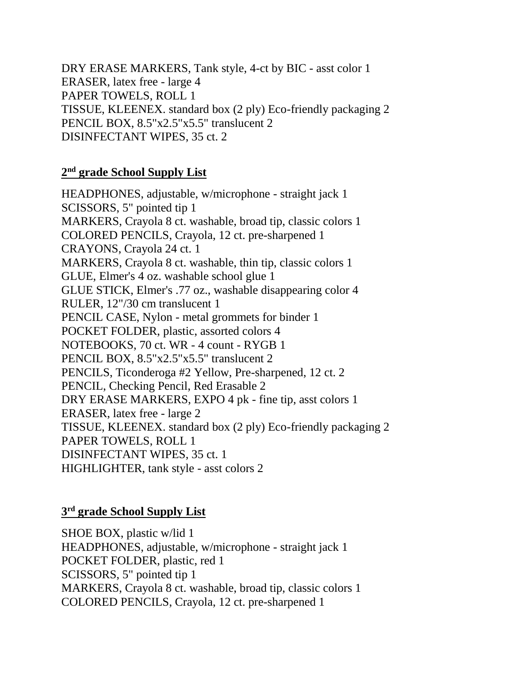DRY ERASE MARKERS, Tank style, 4-ct by BIC - asst color 1 ERASER, latex free - large 4 PAPER TOWELS, ROLL 1 TISSUE, KLEENEX. standard box (2 ply) Eco-friendly packaging 2 PENCIL BOX, 8.5"x2.5"x5.5" translucent 2 DISINFECTANT WIPES, 35 ct. 2

#### **2 nd grade School Supply List**

HEADPHONES, adjustable, w/microphone - straight jack 1 SCISSORS, 5" pointed tip 1 MARKERS, Crayola 8 ct. washable, broad tip, classic colors 1 COLORED PENCILS, Crayola, 12 ct. pre-sharpened 1 CRAYONS, Crayola 24 ct. 1 MARKERS, Crayola 8 ct. washable, thin tip, classic colors 1 GLUE, Elmer's 4 oz. washable school glue 1 GLUE STICK, Elmer's .77 oz., washable disappearing color 4 RULER, 12"/30 cm translucent 1 PENCIL CASE, Nylon - metal grommets for binder 1 POCKET FOLDER, plastic, assorted colors 4 NOTEBOOKS, 70 ct. WR - 4 count - RYGB 1 PENCIL BOX, 8.5"x2.5"x5.5" translucent 2 PENCILS, Ticonderoga #2 Yellow, Pre-sharpened, 12 ct. 2 PENCIL, Checking Pencil, Red Erasable 2 DRY ERASE MARKERS, EXPO 4 pk - fine tip, asst colors 1 ERASER, latex free - large 2 TISSUE, KLEENEX. standard box (2 ply) Eco-friendly packaging 2 PAPER TOWELS, ROLL 1 DISINFECTANT WIPES, 35 ct. 1 HIGHLIGHTER, tank style - asst colors 2

#### **3 rd grade School Supply List**

SHOE BOX, plastic w/lid 1 HEADPHONES, adjustable, w/microphone - straight jack 1 POCKET FOLDER, plastic, red 1 SCISSORS, 5" pointed tip 1 MARKERS, Crayola 8 ct. washable, broad tip, classic colors 1 COLORED PENCILS, Crayola, 12 ct. pre-sharpened 1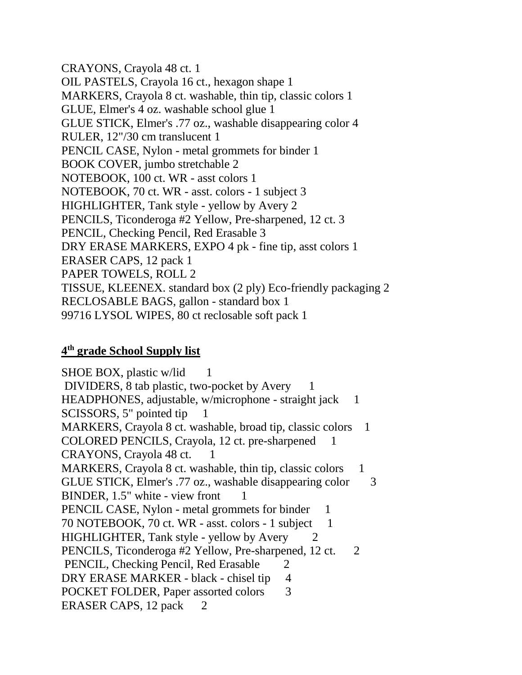CRAYONS, Crayola 48 ct. 1 OIL PASTELS, Crayola 16 ct., hexagon shape 1 MARKERS, Crayola 8 ct. washable, thin tip, classic colors 1 GLUE, Elmer's 4 oz. washable school glue 1 GLUE STICK, Elmer's .77 oz., washable disappearing color 4 RULER, 12"/30 cm translucent 1 PENCIL CASE, Nylon - metal grommets for binder 1 BOOK COVER, jumbo stretchable 2 NOTEBOOK, 100 ct. WR - asst colors 1 NOTEBOOK, 70 ct. WR - asst. colors - 1 subject 3 HIGHLIGHTER, Tank style - yellow by Avery 2 PENCILS, Ticonderoga #2 Yellow, Pre-sharpened, 12 ct. 3 PENCIL, Checking Pencil, Red Erasable 3 DRY ERASE MARKERS, EXPO 4 pk - fine tip, asst colors 1 ERASER CAPS, 12 pack 1 PAPER TOWELS, ROLL 2 TISSUE, KLEENEX. standard box (2 ply) Eco-friendly packaging 2 RECLOSABLE BAGS, gallon - standard box 1 99716 LYSOL WIPES, 80 ct reclosable soft pack 1

### **4 th grade School Supply list**

 $SHOE$  BOX, plastic w/lid 1 DIVIDERS, 8 tab plastic, two-pocket by Avery 1 HEADPHONES, adjustable, w/microphone - straight jack 1 SCISSORS, 5" pointed tip 1 MARKERS, Crayola 8 ct. washable, broad tip, classic colors 1 COLORED PENCILS, Crayola, 12 ct. pre-sharpened CRAYONS, Crayola 48 ct. 1 MARKERS, Crayola 8 ct. washable, thin tip, classic colors 1 GLUE STICK, Elmer's .77 oz., washable disappearing color 3 BINDER, 1.5" white - view front 1 PENCIL CASE, Nylon - metal grommets for binder 1 70 NOTEBOOK, 70 ct. WR - asst. colors - 1 subject 1 HIGHLIGHTER, Tank style - yellow by Avery 2 PENCILS, Ticonderoga #2 Yellow, Pre-sharpened, 12 ct. 2 PENCIL, Checking Pencil, Red Erasable 2 DRY ERASE MARKER - black - chisel tip 4 POCKET FOLDER, Paper assorted colors 3 ERASER CAPS, 12 pack 2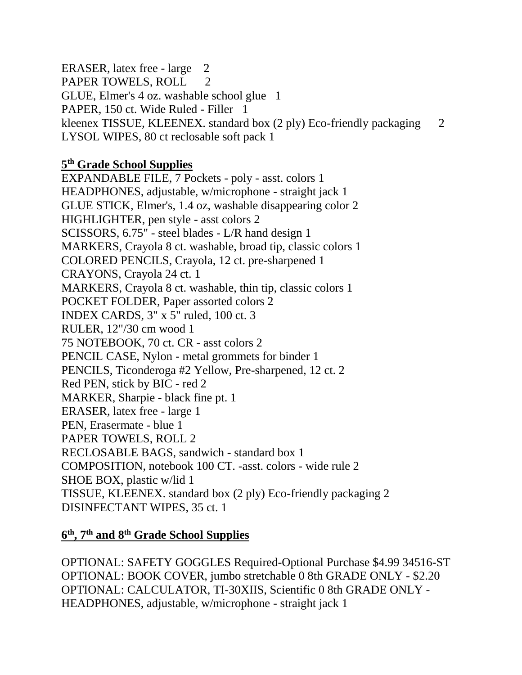ERASER, latex free - large 2 PAPER TOWELS, ROLL 2 GLUE, Elmer's 4 oz. washable school glue 1 PAPER, 150 ct. Wide Ruled - Filler 1 kleenex TISSUE, KLEENEX. standard box (2 ply) Eco-friendly packaging 2 LYSOL WIPES, 80 ct reclosable soft pack 1

### **5 th Grade School Supplies**

EXPANDABLE FILE, 7 Pockets - poly - asst. colors 1 HEADPHONES, adjustable, w/microphone - straight jack 1 GLUE STICK, Elmer's, 1.4 oz, washable disappearing color 2 HIGHLIGHTER, pen style - asst colors 2 SCISSORS, 6.75" - steel blades - L/R hand design 1 MARKERS, Crayola 8 ct. washable, broad tip, classic colors 1 COLORED PENCILS, Crayola, 12 ct. pre-sharpened 1 CRAYONS, Crayola 24 ct. 1 MARKERS, Crayola 8 ct. washable, thin tip, classic colors 1 POCKET FOLDER, Paper assorted colors 2 INDEX CARDS, 3" x 5" ruled, 100 ct. 3 RULER, 12"/30 cm wood 1 75 NOTEBOOK, 70 ct. CR - asst colors 2 PENCIL CASE, Nylon - metal grommets for binder 1 PENCILS, Ticonderoga #2 Yellow, Pre-sharpened, 12 ct. 2 Red PEN, stick by BIC - red 2 MARKER, Sharpie - black fine pt. 1 ERASER, latex free - large 1 PEN, Erasermate - blue 1 PAPER TOWELS, ROLL 2 RECLOSABLE BAGS, sandwich - standard box 1 COMPOSITION, notebook 100 CT. -asst. colors - wide rule 2 SHOE BOX, plastic w/lid 1 TISSUE, KLEENEX. standard box (2 ply) Eco-friendly packaging 2 DISINFECTANT WIPES, 35 ct. 1

## **6 th, 7th and 8th Grade School Supplies**

OPTIONAL: SAFETY GOGGLES Required-Optional Purchase \$4.99 34516-ST OPTIONAL: BOOK COVER, jumbo stretchable 0 8th GRADE ONLY - \$2.20 OPTIONAL: CALCULATOR, TI-30XIIS, Scientific 0 8th GRADE ONLY - HEADPHONES, adjustable, w/microphone - straight jack 1